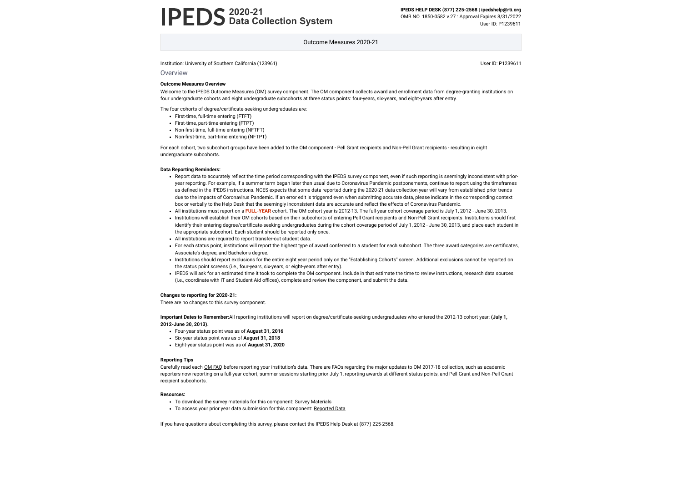# **2020-21 Data Collection System**

## **IPEDS HELP DESK (877) 225-2568 | ipedshelp@rti.org** OMB NO. 1850-0582 v.27 : Approval Expires 8/31/2022 User ID: P1239611

Outcome Measures 2020-21

Institution: University of Southern California (123961) User ID: P1239611

**Overview** 

### **Outcome Measures Overview**

Welcome to the IPEDS Outcome Measures (OM) survey component. The OM component collects award and enrollment data from degree-granting institutions on four undergraduate cohorts and eight undergraduate subcohorts at three status points: four-years, six-years, and eight-years after entry.

The four cohorts of degree/certificate-seeking undergraduates are:

- First-time, full-time entering (FTFT)
- First-time, part-time entering (FTPT)
- Non-first-time, full-time entering (NFTFT)
- Non-first-time, part-time entering (NFTPT)

For each cohort, two subcohort groups have been added to the OM component - Pell Grant recipients and Non-Pell Grant recipients - resulting in eight undergraduate subcohorts.

#### **Data Reporting Reminders:**

- Report data to accurately reflect the time period corresponding with the IPEDS survey component, even if such reporting is seemingly inconsistent with prioryear reporting. For example, if a summer term began later than usual due to Coronavirus Pandemic postponements, continue to report using the timeframes as defined in the IPEDS instructions. NCES expects that some data reported during the 2020-21 data collection year will vary from established prior trends due to the impacts of Coronavirus Pandemic. If an error edit is triggered even when submitting accurate data, please indicate in the corresponding context box or verbally to the Help Desk that the seemingly inconsistent data are accurate and reflect the effects of Coronavirus Pandemic.
- All institutions must report on a **FULL-YEAR** cohort. The OM cohort year is 2012-13. The full-year cohort coverage period is July 1, 2012 June 30, 2013.
- Institutions will establish their OM cohorts based on their subcohorts of entering Pell Grant recipients and Non-Pell Grant recipients. Institutions should first identify their entering degree/certificate-seeking undergraduates during the cohort coverage period of July 1, 2012 - June 30, 2013, and place each student in the appropriate subcohort. Each student should be reported only once.
- All institutions are required to report transfer-out student data.
- For each status point, institutions will report the highest type of award conferred to a student for each subcohort. The three award categories are certificates, Associate's degree, and Bachelor's degree.
- Institutions should report exclusions for the entire eight year period only on the "Establishing Cohorts" screen. Additional exclusions cannot be reported on the status point screens (i.e., four-years, six-years, or eight-years after entry).
- IPEDS will ask for an estimated time it took to complete the OM component. Include in that estimate the time to review instructions, research data sources (i.e., coordinate with IT and Student Aid offices), complete and review the component, and submit the data.

#### **Changes to reporting for 2020-21:**

There are no changes to this survey component.

**Important Dates to Remember:**All reporting institutions will report on degree/certificate-seeking undergraduates who entered the 2012-13 cohort year: **(July 1, 2012-June 30, 2013).**

- Four-year status point was as of **August 31, 2016**
- Six-year status point was as of **August 31, 2018**
- Eight-year status point was as of **August 31, 2020**

### **Reporting Tips**

Carefully read each OM [FAQ](https://surveys.nces.ed.gov/ipeds/public/survey-materials/faq?faqid=14) before reporting your institution's data. There are FAQs regarding the major updates to OM 2017-18 collection, such as academic reporters now reporting on a full-year cohort, summer sessions starting prior July 1, reporting awards at different status points, and Pell Grant and Non-Pell Grant recipient subcohorts.

#### **Resources:**

- To download the survey materials for this component: Survey [Materials](https://surveys.nces.ed.gov/ipeds/public/survey-materials/index)
- To access your prior year data submission for this component: [Reported Data](https://surveys.nces.ed.gov/IPEDS_py/DataForms.aspx?f0e9e4efc4dfb8acadaeb4b1aca1eef0edf1e0f4c4dfb8acaea1f0eee0edc4dfb8cbacadaeb4b1acaca1f0e9e4efc9dce8e0b8d0e9e4f1e0edeee4eff49beae19bceeaf0efe3e0ede99bbedce7e4e1eaede9e4dca1ebedeadee0eeeeb8e0f3efe0ede9dce7a1eddfefb8adaaacadaaadabadac9bafb5adb4b5aeb09bcbc8)

If you have questions about completing this survey, please contact the IPEDS Help Desk at (877) 225-2568.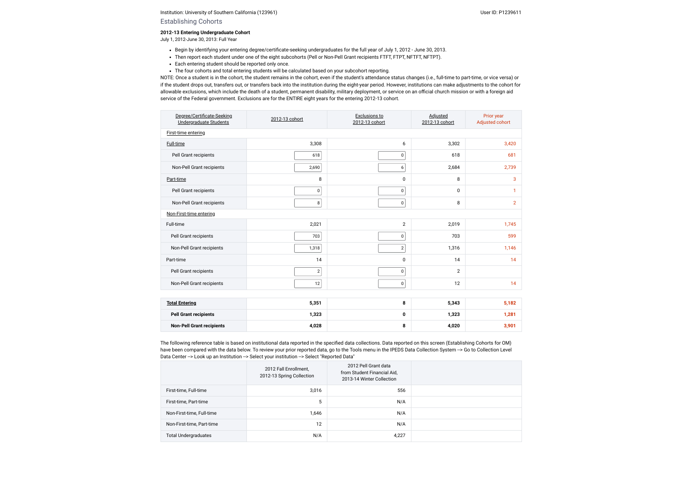Establishing Cohorts

## **2012-13 Entering Undergraduate Cohort**

July 1, 2012-June 30, 2013: Full Year

- Begin by identifying your entering degree/certificate-seeking undergraduates for the full year of July 1, 2012 June 30, 2013.
- Then report each student under one of the eight subcohorts (Pell or Non-Pell Grant recipients FTFT, FTPT, NFTFT, NFTPT).
- Each entering student should be reported only once.
- The four cohorts and total entering students will be calculated based on your subcohort reporting.

NOTE: Once a student is in the cohort, the student remains in the cohort, even if the student's attendance status changes (i.e., full-time to part-time, or vice versa) or if the student drops out, transfers out, or transfers back into the institution during the eight-year period. However, institutions can make adjustments to the cohort for allowable exclusions, which include the death of a student, permanent disability, military deployment, or service on an official church mission or with a foreign aid service of the Federal government. Exclusions are for the ENTIRE eight years for the entering 2012-13 cohort.

| Degree/Certificate-Seeking<br>Undergraduate Students | 2012-13 cohort | Exclusions to<br>2012-13 cohort | Adjusted<br>2012-13 cohort | Prior year<br>Adjusted cohort |  |
|------------------------------------------------------|----------------|---------------------------------|----------------------------|-------------------------------|--|
| First-time entering                                  |                |                                 |                            |                               |  |
| Full-time                                            | 3,308          | 6                               | 3,302                      | 3,420                         |  |
| Pell Grant recipients                                | 618            | 0                               | 618                        | 681                           |  |
| Non-Pell Grant recipients                            | 2,690          | 6                               | 2,684                      | 2,739                         |  |
| Part-time                                            | 8              | $\mathbf 0$                     | 8                          | 3                             |  |
| Pell Grant recipients                                | $\mathbf 0$    | 0                               | $\mathbf 0$                | $\mathbf{1}$                  |  |
| Non-Pell Grant recipients                            | 8              | 0                               | 8                          | $\overline{2}$                |  |
| Non-First-time entering                              |                |                                 |                            |                               |  |
| Full-time                                            | 2,021          | $\overline{2}$                  | 2,019                      | 1,745                         |  |
| Pell Grant recipients                                | 703            | $\mathbf 0$                     | 703                        | 599                           |  |
| Non-Pell Grant recipients                            | 1,318          | $\overline{2}$                  | 1,316                      | 1,146                         |  |
| Part-time                                            | 14             | $\mathbf{0}$                    | 14                         | 14                            |  |
| Pell Grant recipients                                | $\overline{2}$ | $\mathbf 0$                     | $\overline{2}$             |                               |  |
| Non-Pell Grant recipients                            | 12             | 0                               | 12                         | 14                            |  |
|                                                      |                |                                 |                            |                               |  |
| <b>Total Entering</b>                                | 5,351          | 8                               | 5,343                      | 5,182                         |  |
| <b>Pell Grant recipients</b>                         | 1,323          | 0                               | 1,323                      | 1,281                         |  |
| <b>Non-Pell Grant recipients</b>                     | 4,028          | 8                               | 4,020                      | 3,901                         |  |

The following reference table is based on institutional data reported in the specified data collections. Data reported on this screen (Establishing Cohorts for OM) have been compared with the data below. To review your prior reported data, go to the Tools menu in the IPEDS Data Collection System -> Go to Collection Level Data Center --> Look up an Institution --> Select your institution --> Select "Reported Data"

|                             | 2012 Fall Enrollment,<br>2012-13 Spring Collection | 2012 Pell Grant data<br>from Student Financial Aid,<br>2013-14 Winter Collection |  |
|-----------------------------|----------------------------------------------------|----------------------------------------------------------------------------------|--|
| First-time, Full-time       | 3,016                                              | 556                                                                              |  |
| First-time, Part-time       | 5                                                  | N/A                                                                              |  |
| Non-First-time, Full-time   | 1.646                                              | N/A                                                                              |  |
| Non-First-time, Part-time   | 12                                                 | N/A                                                                              |  |
| <b>Total Undergraduates</b> | N/A                                                | 4,227                                                                            |  |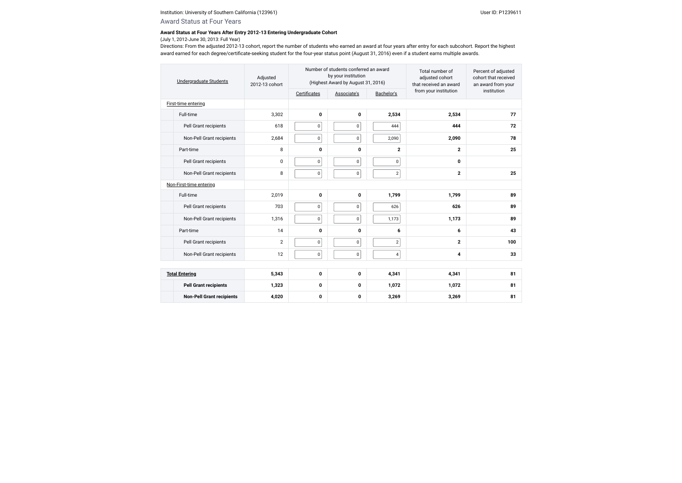Award Status at Four Years

# **Award Status at Four Years After Entry 2012-13 Entering Undergraduate Cohort**

(July 1, 2012-June 30, 2013: Full Year)

Directions: From the adjusted 2012-13 cohort, report the number of students who earned an award at four years after entry for each subcohort. Report the highest award earned for each degree/certificate-seeking student for the four-year status point (August 31, 2016) even if a student earns multiple awards.

| Undergraduate Students |                                  | Adjusted<br>2012-13 cohort |              | Number of students conferred an award<br>by your institution<br>(Highest Award by August 31, 2016) |                | Total number of<br>adjusted cohort<br>that received an award | Percent of adjusted<br>cohort that received<br>an award from your |  |
|------------------------|----------------------------------|----------------------------|--------------|----------------------------------------------------------------------------------------------------|----------------|--------------------------------------------------------------|-------------------------------------------------------------------|--|
|                        |                                  |                            | Certificates | Associate's                                                                                        | Bachelor's     | from your institution                                        | institution                                                       |  |
| First-time entering    |                                  |                            |              |                                                                                                    |                |                                                              |                                                                   |  |
|                        | Full-time                        | 3,302                      | 0            | 0                                                                                                  | 2,534          | 2,534                                                        | 77                                                                |  |
|                        | Pell Grant recipients            | 618                        | $\mathbf 0$  | $\mathsf 0$                                                                                        | 444            | 444                                                          | 72                                                                |  |
|                        | Non-Pell Grant recipients        | 2,684                      | $\mathbf 0$  | $\mathbf 0$                                                                                        | 2,090          | 2,090                                                        | 78                                                                |  |
|                        | Part-time                        | 8                          | 0            | 0                                                                                                  | $\overline{2}$ | $\overline{2}$                                               | 25                                                                |  |
|                        | Pell Grant recipients            | $\mathbf 0$                | $\mathbf 0$  | $\pmb{0}$                                                                                          | $\mathbf 0$    | $\mathbf{0}$                                                 |                                                                   |  |
|                        | Non-Pell Grant recipients        | 8                          | $\mathbf 0$  | 0                                                                                                  | $\overline{2}$ | $\overline{2}$                                               | 25                                                                |  |
|                        | Non-First-time entering          |                            |              |                                                                                                    |                |                                                              |                                                                   |  |
|                        | Full-time                        | 2,019                      | 0            | 0                                                                                                  | 1,799          | 1,799                                                        | 89                                                                |  |
|                        | Pell Grant recipients            | 703                        | $\mathbf 0$  | $\pmb{0}$                                                                                          | 626            | 626                                                          | 89                                                                |  |
|                        | Non-Pell Grant recipients        | 1,316                      | $\mathbf 0$  | 0                                                                                                  | 1,173          | 1,173                                                        | 89                                                                |  |
|                        | Part-time                        | 14                         | 0            | 0                                                                                                  | 6              | 6                                                            | 43                                                                |  |
|                        | Pell Grant recipients            | $\overline{2}$             | $\pmb{0}$    | $\mathbf 0$                                                                                        | $\overline{2}$ | $\mathbf{2}$                                                 | 100                                                               |  |
|                        | Non-Pell Grant recipients        | 12                         | $\pmb{0}$    | 0                                                                                                  | 4              | 4                                                            | 33                                                                |  |
|                        |                                  |                            |              |                                                                                                    |                |                                                              |                                                                   |  |
|                        | <b>Total Entering</b>            | 5.343                      | $\mathbf 0$  | 0                                                                                                  | 4,341          | 4,341                                                        | 81                                                                |  |
|                        | <b>Pell Grant recipients</b>     | 1,323                      | 0            | 0                                                                                                  | 1,072          | 1,072                                                        | 81                                                                |  |
|                        | <b>Non-Pell Grant recipients</b> | 4.020                      | 0            | 0                                                                                                  | 3.269          | 3,269                                                        | 81                                                                |  |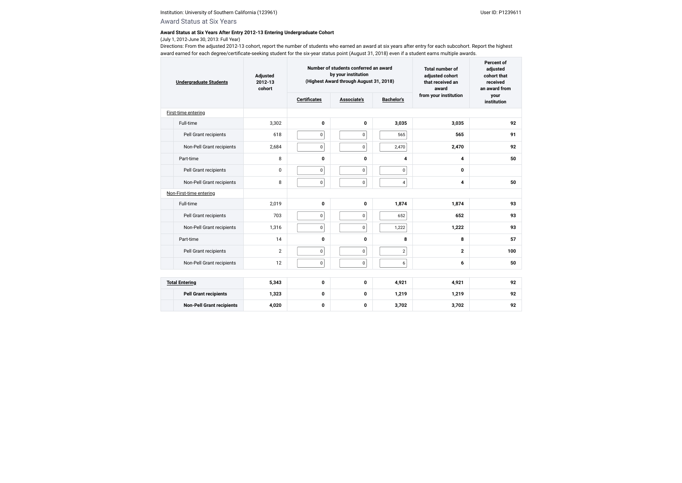Award Status at Six Years

# **Award Status at Six Years After Entry 2012-13 Entering Undergraduate Cohort**

(July 1, 2012-June 30, 2013: Full Year)

Directions: From the adjusted 2012-13 cohort, report the number of students who earned an award at six years after entry for each subcohort. Report the highest award earned for each degree/certificate-seeking student for the six-year status point (August 31, 2018) even if a student earns multiple awards.

| Adjusted<br>2012-13<br><b>Undergraduate Students</b><br>cohort |                                  |                |                     | Number of students conferred an award<br>by your institution<br>(Highest Award through August 31, 2018) | <b>Total number of</b><br>adjusted cohort<br>that received an<br>award | Percent of<br>adiusted<br>cohort that<br>received<br>an award from |                     |  |
|----------------------------------------------------------------|----------------------------------|----------------|---------------------|---------------------------------------------------------------------------------------------------------|------------------------------------------------------------------------|--------------------------------------------------------------------|---------------------|--|
|                                                                |                                  |                | <b>Certificates</b> | Associate's                                                                                             | <b>Bachelor's</b>                                                      | from your institution                                              | your<br>institution |  |
|                                                                | First-time entering              |                |                     |                                                                                                         |                                                                        |                                                                    |                     |  |
|                                                                | Full-time                        | 3,302          | 0                   | $\mathbf 0$                                                                                             | 3,035                                                                  | 3,035                                                              | 92                  |  |
|                                                                | Pell Grant recipients            | 618            | 0                   | $\overline{0}$                                                                                          | 565                                                                    | 565                                                                | 91                  |  |
|                                                                | Non-Pell Grant recipients        | 2,684          | $\pmb{0}$           | 0                                                                                                       | 2,470                                                                  | 2,470                                                              | 92                  |  |
|                                                                | Part-time                        | 8              | $\mathbf{0}$        | $\mathbf{0}$                                                                                            | 4                                                                      | 4                                                                  | 50                  |  |
|                                                                | Pell Grant recipients            | $\mathbf 0$    | 0                   | $\overline{0}$                                                                                          | 0                                                                      | 0                                                                  |                     |  |
|                                                                | Non-Pell Grant recipients        | 8              | 0                   | 0                                                                                                       | $\overline{4}$                                                         | 4                                                                  | 50                  |  |
|                                                                | Non-First-time entering          |                |                     |                                                                                                         |                                                                        |                                                                    |                     |  |
|                                                                | Full-time                        | 2,019          | 0                   | 0                                                                                                       | 1,874                                                                  | 1,874                                                              | 93                  |  |
|                                                                | Pell Grant recipients            | 703            | 0                   | 0                                                                                                       | 652                                                                    | 652                                                                | 93                  |  |
|                                                                | Non-Pell Grant recipients        | 1,316          | 0                   | 0                                                                                                       | 1,222                                                                  | 1,222                                                              | 93                  |  |
|                                                                | Part-time                        | 14             | 0                   | 0                                                                                                       | 8                                                                      | 8                                                                  | 57                  |  |
|                                                                | Pell Grant recipients            | $\overline{2}$ | 0                   | 0                                                                                                       | $\overline{2}$                                                         | $\mathbf{2}$                                                       | 100                 |  |
|                                                                | Non-Pell Grant recipients        | 12             | 0                   | 0                                                                                                       | 6                                                                      | 6                                                                  | 50                  |  |
|                                                                |                                  |                |                     |                                                                                                         |                                                                        |                                                                    |                     |  |
|                                                                | <b>Total Entering</b>            | 5,343          | 0                   | $\mathbf 0$                                                                                             | 4,921                                                                  | 4,921                                                              | 92                  |  |
|                                                                | <b>Pell Grant recipients</b>     | 1,323          | 0                   | $\bf{0}$                                                                                                | 1,219                                                                  | 1,219                                                              | 92                  |  |
|                                                                | <b>Non-Pell Grant recipients</b> | 4,020          | 0                   | $\mathbf 0$                                                                                             | 3,702                                                                  | 3,702                                                              | 92                  |  |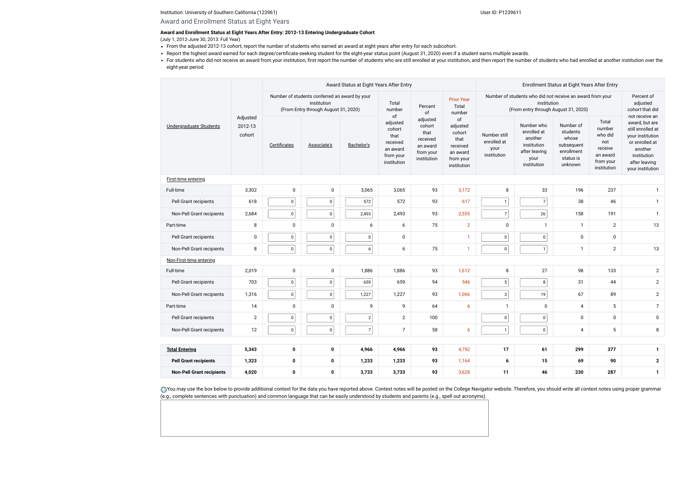Award and Enrollment Status at Eight Years

## **Award and Enrollment Status at Eight Years After Entry: 2012-13 Entering Undergraduate Cohort**

(July 1, 2012-June 30, 2013: Full Year)

- From the adjusted 2012-13 cohort, report the number of students who earned an award at eight years after entry for each subcohort.
- Report the highest award earned for each degree/certificate-seeking student for the eight-year status point (August 31, 2020) even if a student earns multiple awards.
- . For students who did not receive an award from your institution, first report the number of students who are still enrolled at your institution, and then report the number of students who had enrolled at another institut eight-year period.

|                                  | Adjusted<br>2012-13<br>cohort | Award Status at Eight Years After Entry                                                              |              |                                  |                                                                                      |                                                                                |                                                                                                                  | Enrollment Status at Eight Years After Entry       |                                                                                             |                                                                                    |                                                                                      |                                                                                                                                                            |
|----------------------------------|-------------------------------|------------------------------------------------------------------------------------------------------|--------------|----------------------------------|--------------------------------------------------------------------------------------|--------------------------------------------------------------------------------|------------------------------------------------------------------------------------------------------------------|----------------------------------------------------|---------------------------------------------------------------------------------------------|------------------------------------------------------------------------------------|--------------------------------------------------------------------------------------|------------------------------------------------------------------------------------------------------------------------------------------------------------|
| Undergraduate Students           |                               | Number of students conferred an award by your<br>institution<br>(From Entry through August 31, 2020) |              | Total<br>Percent<br>number<br>of |                                                                                      | <b>Prior Year</b><br>Total<br>number                                           | Number of students who did not receive an award from your<br>institution<br>(From entry through August 31, 2020) |                                                    |                                                                                             |                                                                                    | Percent of<br>adjusted<br>cohort that did                                            |                                                                                                                                                            |
|                                  |                               | Certificates                                                                                         | Associate's  | Bachelor's                       | of<br>adjusted<br>cohort<br>that<br>received<br>an award<br>from your<br>institution | adjusted<br>cohort<br>that<br>received<br>an award<br>from your<br>institution | of<br>adjusted<br>cohort<br>that<br>received<br>an award<br>from your<br>institution                             | Number still<br>enrolled at<br>your<br>institution | Number who<br>enrolled at<br>another<br>institution<br>after leaving<br>your<br>institution | Number of<br>students<br>whose<br>subsequent<br>enrollment<br>status is<br>unknown | Total<br>number<br>who did<br>not<br>receive<br>an award<br>from your<br>institution | not receive an<br>award, but are<br>still enrolled at<br>your institution<br>or enrolled at<br>another<br>institution<br>after leaving<br>your institution |
| First-time entering              |                               |                                                                                                      |              |                                  |                                                                                      |                                                                                |                                                                                                                  |                                                    |                                                                                             |                                                                                    |                                                                                      |                                                                                                                                                            |
| Full-time                        | 3,302                         | 0                                                                                                    | 0            | 3,065                            | 3,065                                                                                | 93                                                                             | 3,172                                                                                                            | 8                                                  | 33                                                                                          | 196                                                                                | 237                                                                                  | $\mathbf{1}$                                                                                                                                               |
| Pell Grant recipients            | 618                           | $\overline{0}$                                                                                       | $\mathsf 0$  | 572                              | 572                                                                                  | 93                                                                             | 617                                                                                                              | $\mathbf{1}$                                       | 7                                                                                           | 38                                                                                 | 46                                                                                   | $\mathbf{1}$                                                                                                                                               |
| Non-Pell Grant recipients        | 2,684                         | $\overline{0}$                                                                                       | $\mathbf{0}$ | 2,493                            | 2,493                                                                                | 93                                                                             | 2,555                                                                                                            | $\overline{7}$                                     | 26                                                                                          | 158                                                                                | 191                                                                                  | $\mathbf{1}$                                                                                                                                               |
| Part-time                        | 8                             | 0                                                                                                    | $\mathbf 0$  | 6                                | 6                                                                                    | 75                                                                             | $\overline{2}$                                                                                                   | $\mathbf 0$                                        | $\mathbf{1}$                                                                                | $\overline{1}$                                                                     | $\overline{2}$                                                                       | 13                                                                                                                                                         |
| Pell Grant recipients            | $\mathbf 0$                   | $\overline{0}$                                                                                       | $\mathsf 0$  | $\pmb{0}$                        | $\mathsf 0$                                                                          |                                                                                | 1                                                                                                                | $\pmb{0}$                                          | 0                                                                                           | $\mathbf 0$                                                                        | $\mathsf 0$                                                                          |                                                                                                                                                            |
| Non-Pell Grant recipients        | 8                             | $\overline{0}$                                                                                       | $\mathbf 0$  | $\boldsymbol{6}$                 | 6                                                                                    | 75                                                                             | 1                                                                                                                | $\mathsf 0$                                        | 1 <sup>1</sup>                                                                              | $\mathbf{1}$                                                                       | $\overline{2}$                                                                       | 13                                                                                                                                                         |
| Non-First-time entering          |                               |                                                                                                      |              |                                  |                                                                                      |                                                                                |                                                                                                                  |                                                    |                                                                                             |                                                                                    |                                                                                      |                                                                                                                                                            |
| Full-time                        | 2,019                         | 0                                                                                                    | 0            | 1,886                            | 1,886                                                                                | 93                                                                             | 1,612                                                                                                            | 8                                                  | 27                                                                                          | 98                                                                                 | 133                                                                                  | $\overline{2}$                                                                                                                                             |
| Pell Grant recipients            | 703                           | $\overline{0}$                                                                                       | $\mathsf 0$  | 659                              | 659                                                                                  | 94                                                                             | 546                                                                                                              | $\mathsf S$                                        | 8                                                                                           | 31                                                                                 | 44                                                                                   | $\overline{2}$                                                                                                                                             |
| Non-Pell Grant recipients        | 1,316                         | $\overline{0}$                                                                                       | $\mathbf 0$  | 1,227                            | 1,227                                                                                | 93                                                                             | 1,066                                                                                                            | $\mathsf 3$                                        | 19                                                                                          | 67                                                                                 | 89                                                                                   | $\overline{2}$                                                                                                                                             |
| Part-time                        | 14                            | $\mathbf 0$                                                                                          | $\mathbf 0$  | 9                                | 9                                                                                    | 64                                                                             | 6                                                                                                                | $\mathbf{1}$                                       | $\mathbf 0$                                                                                 | $\overline{4}$                                                                     | 5                                                                                    | $\overline{7}$                                                                                                                                             |
| Pell Grant recipients            | $\overline{2}$                | $\overline{0}$                                                                                       | $\mathbf 0$  | $\sqrt{2}$                       | $\overline{2}$                                                                       | 100                                                                            |                                                                                                                  | $\mathbf 0$                                        | 0 <sup>1</sup>                                                                              | 0                                                                                  | $\mathsf 0$                                                                          | $\pmb{0}$                                                                                                                                                  |
| Non-Pell Grant recipients        | 12                            | $\overline{0}$                                                                                       | $\mathbf{0}$ | $\overline{7}$                   | $\overline{7}$                                                                       | 58                                                                             | 6                                                                                                                | $\mathbf{1}$                                       | $\overline{0}$                                                                              | $\overline{4}$                                                                     | $\sqrt{5}$                                                                           | 8                                                                                                                                                          |
|                                  |                               |                                                                                                      |              |                                  |                                                                                      |                                                                                |                                                                                                                  |                                                    |                                                                                             |                                                                                    |                                                                                      |                                                                                                                                                            |
| <b>Total Entering</b>            | 5,343                         | $\mathbf 0$                                                                                          | 0            | 4,966                            | 4,966                                                                                | 93                                                                             | 4,792                                                                                                            | 17                                                 | 61                                                                                          | 299                                                                                | 377                                                                                  | $\mathbf{1}$                                                                                                                                               |
| <b>Pell Grant recipients</b>     | 1,323                         | $\mathbf 0$                                                                                          | 0            | 1,233                            | 1,233                                                                                | 93                                                                             | 1,164                                                                                                            | 6                                                  | 15                                                                                          | 69                                                                                 | 90                                                                                   | $\mathbf{2}$                                                                                                                                               |
| <b>Non-Pell Grant recipients</b> | 4,020                         | 0                                                                                                    | 0            | 3,733                            | 3,733                                                                                | 93                                                                             | 3,628                                                                                                            | 11                                                 | 46                                                                                          | 230                                                                                | 287                                                                                  | $\mathbf{1}$                                                                                                                                               |

You may use the box below to provide additional context for the data you have reported above. Context notes will be posted on the College Navigator website. Therefore, you should write all context notes using proper gramma (e.g., complete sentences with punctuation) and common language that can be easily understood by students and parents (e.g., spell out acronyms).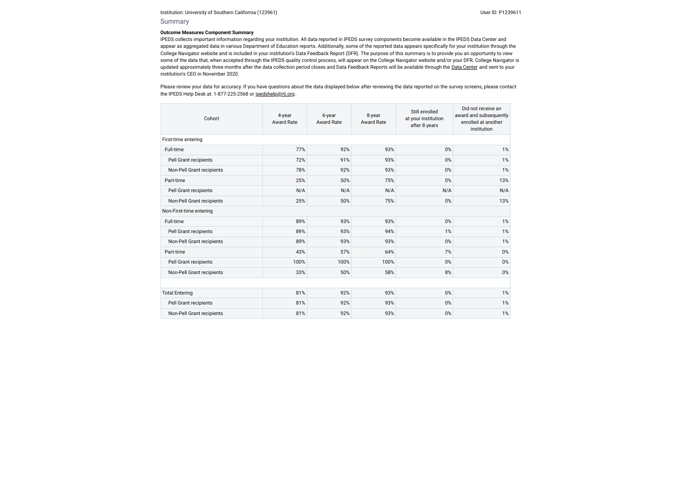# Summary

## **Outcome Measures Component Summary**

IPEDS collects important information regarding your institution. All data reported in IPEDS survey components become available in the IPEDS Data Center and appear as aggregated data in various Department of Education reports. Additionally, some of the reported data appears specifically for your institution through the College Navigator website and is included in your institution's Data Feedback Report (DFR). The purpose of this summary is to provide you an opportunity to view some of the data that, when accepted through the IPEDS quality control process, will appear on the College Navigator website and/or your DFR. College Navigator is updated approximately three months after the data collection period closes and Data Feedback Reports will be available through the Data [Center](https://nces.ed.gov/ipeds/use-the-data) and sent to your institution's CEO in November 2020.

Please review your data for accuracy. If you have questions about the data displayed below after reviewing the data reported on the survey screens, please contact the IPEDS Help Desk at: 1-877-225-2568 or [ipedshelp@rti.org](mailto:ipedshelp@rti.org).

| Cohort                    | 4-year<br><b>Award Rate</b> | 6-year<br><b>Award Rate</b> | 8-year<br>Award Rate | Still enrolled<br>at your institution<br>after 8 years | Did not receive an<br>award and subsequently<br>enrolled at another<br>institution |  |
|---------------------------|-----------------------------|-----------------------------|----------------------|--------------------------------------------------------|------------------------------------------------------------------------------------|--|
| First-time entering       |                             |                             |                      |                                                        |                                                                                    |  |
| Full-time                 | 77%                         | 92%                         | 93%                  | 0%                                                     | 1%                                                                                 |  |
| Pell Grant recipients     | 72%                         | 91%                         | 93%                  | 0%                                                     | 1%                                                                                 |  |
| Non-Pell Grant recipients | 78%                         | 92%                         | 93%                  | 0%                                                     | 1%                                                                                 |  |
| Part-time                 | 25%                         | 50%                         | 75%                  | 0%                                                     | 13%                                                                                |  |
| Pell Grant recipients     | N/A                         | N/A                         | N/A                  | N/A                                                    | N/A                                                                                |  |
| Non-Pell Grant recipients | 25%                         | 50%                         | 75%                  | 0%                                                     | 13%                                                                                |  |
| Non-First-time entering   |                             |                             |                      |                                                        |                                                                                    |  |
| Full-time                 | 89%                         | 93%                         | 93%                  | 0%                                                     | 1%                                                                                 |  |
| Pell Grant recipients     | 89%                         | 93%                         | 94%                  | 1%                                                     | 1%                                                                                 |  |
| Non-Pell Grant recipients | 89%                         | 93%                         | 93%                  | 0%                                                     | 1%                                                                                 |  |
| Part-time                 | 43%                         | 57%                         | 64%                  | 7%                                                     | 0%                                                                                 |  |
| Pell Grant recipients     | 100%                        | 100%                        | 100%                 | 0%                                                     | 0%                                                                                 |  |
| Non-Pell Grant recipients | 33%                         | 50%                         | 58%                  | 8%                                                     | 0%                                                                                 |  |
|                           |                             |                             |                      |                                                        |                                                                                    |  |
| <b>Total Entering</b>     | 81%                         | 92%                         | 93%                  | 0%                                                     | 1%                                                                                 |  |
| Pell Grant recipients     | 81%                         | 92%                         | 93%                  | 0%                                                     | 1%                                                                                 |  |
| Non-Pell Grant recipients | 81%                         | 92%                         | 93%                  | 0%                                                     | 1%                                                                                 |  |